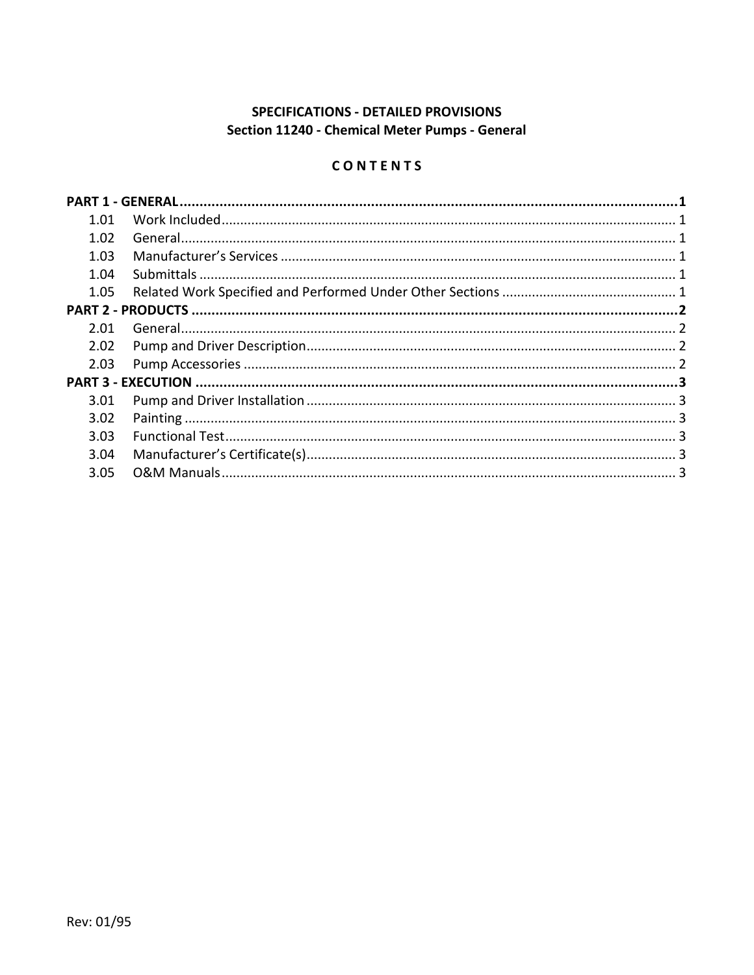# SPECIFICATIONS - DETAILED PROVISIONS Section 11240 - Chemical Meter Pumps - General

# CONTENTS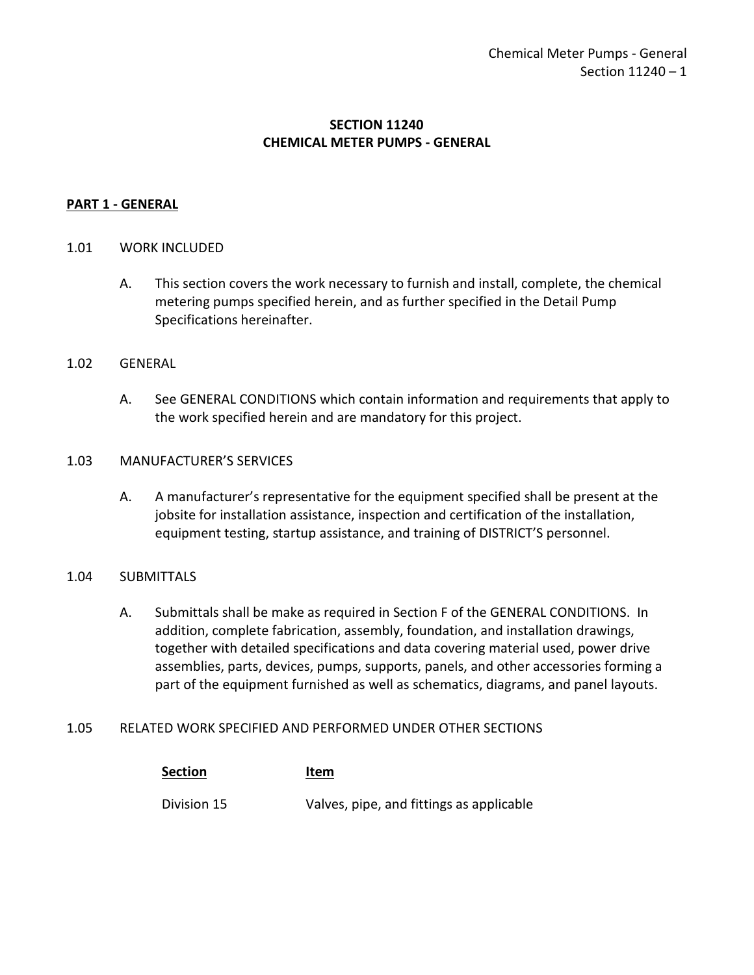# **SECTION 11240 CHEMICAL METER PUMPS - GENERAL**

# <span id="page-2-0"></span>**PART 1 - GENERAL**

### <span id="page-2-1"></span>1.01 WORK INCLUDED

A. This section covers the work necessary to furnish and install, complete, the chemical metering pumps specified herein, and as further specified in the Detail Pump Specifications hereinafter.

#### <span id="page-2-2"></span>1.02 GENERAL

A. See GENERAL CONDITIONS which contain information and requirements that apply to the work specified herein and are mandatory for this project.

### <span id="page-2-3"></span>1.03 MANUFACTURER'S SERVICES

A. A manufacturer's representative for the equipment specified shall be present at the jobsite for installation assistance, inspection and certification of the installation, equipment testing, startup assistance, and training of DISTRICT'S personnel.

# <span id="page-2-4"></span>1.04 SUBMITTALS

A. Submittals shall be make as required in Section F of the GENERAL CONDITIONS. In addition, complete fabrication, assembly, foundation, and installation drawings, together with detailed specifications and data covering material used, power drive assemblies, parts, devices, pumps, supports, panels, and other accessories forming a part of the equipment furnished as well as schematics, diagrams, and panel layouts.

#### <span id="page-2-5"></span>1.05 RELATED WORK SPECIFIED AND PERFORMED UNDER OTHER SECTIONS

| <b>Section</b> | Item                                     |
|----------------|------------------------------------------|
| Division 15    | Valves, pipe, and fittings as applicable |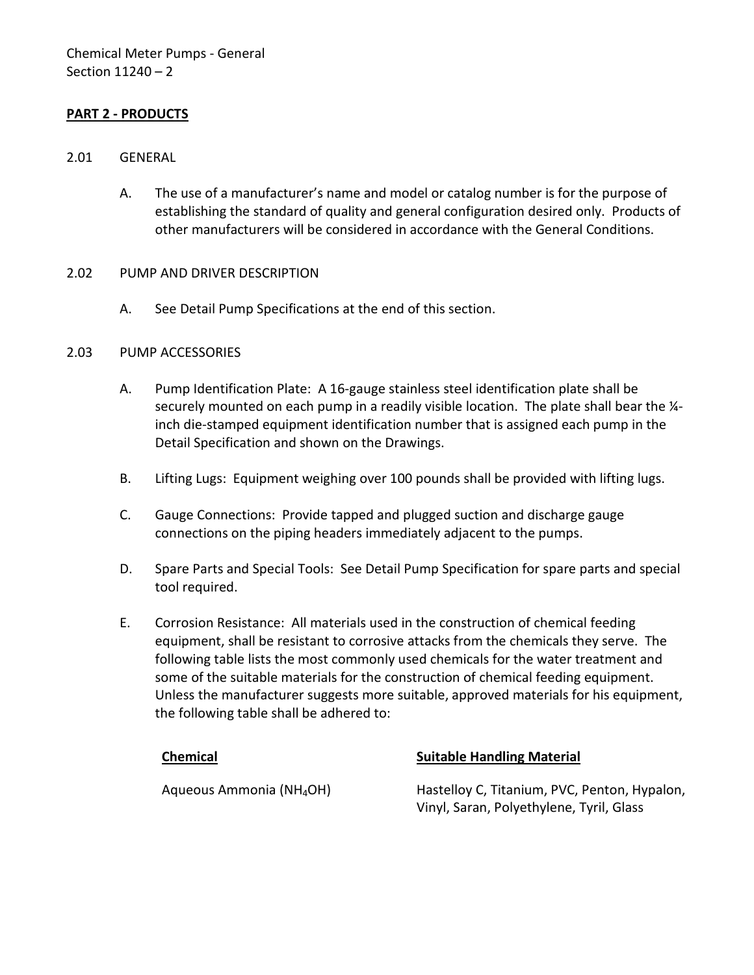# <span id="page-3-0"></span>**PART 2 - PRODUCTS**

# <span id="page-3-1"></span>2.01 GENERAL

A. The use of a manufacturer's name and model or catalog number is for the purpose of establishing the standard of quality and general configuration desired only. Products of other manufacturers will be considered in accordance with the General Conditions.

# <span id="page-3-2"></span>2.02 PUMP AND DRIVER DESCRIPTION

A. See Detail Pump Specifications at the end of this section.

### <span id="page-3-3"></span>2.03 PUMP ACCESSORIES

- A. Pump Identification Plate: A 16-gauge stainless steel identification plate shall be securely mounted on each pump in a readily visible location. The plate shall bear the  $\frac{1}{4}$ inch die-stamped equipment identification number that is assigned each pump in the Detail Specification and shown on the Drawings.
- B. Lifting Lugs: Equipment weighing over 100 pounds shall be provided with lifting lugs.
- C. Gauge Connections: Provide tapped and plugged suction and discharge gauge connections on the piping headers immediately adjacent to the pumps.
- D. Spare Parts and Special Tools: See Detail Pump Specification for spare parts and special tool required.
- E. Corrosion Resistance: All materials used in the construction of chemical feeding equipment, shall be resistant to corrosive attacks from the chemicals they serve. The following table lists the most commonly used chemicals for the water treatment and some of the suitable materials for the construction of chemical feeding equipment. Unless the manufacturer suggests more suitable, approved materials for his equipment, the following table shall be adhered to:

# **Chemical Chemical Suitable Handling Material**

Aqueous Ammonia (NH4OH) Hastelloy C, Titanium, PVC, Penton, Hypalon, Vinyl, Saran, Polyethylene, Tyril, Glass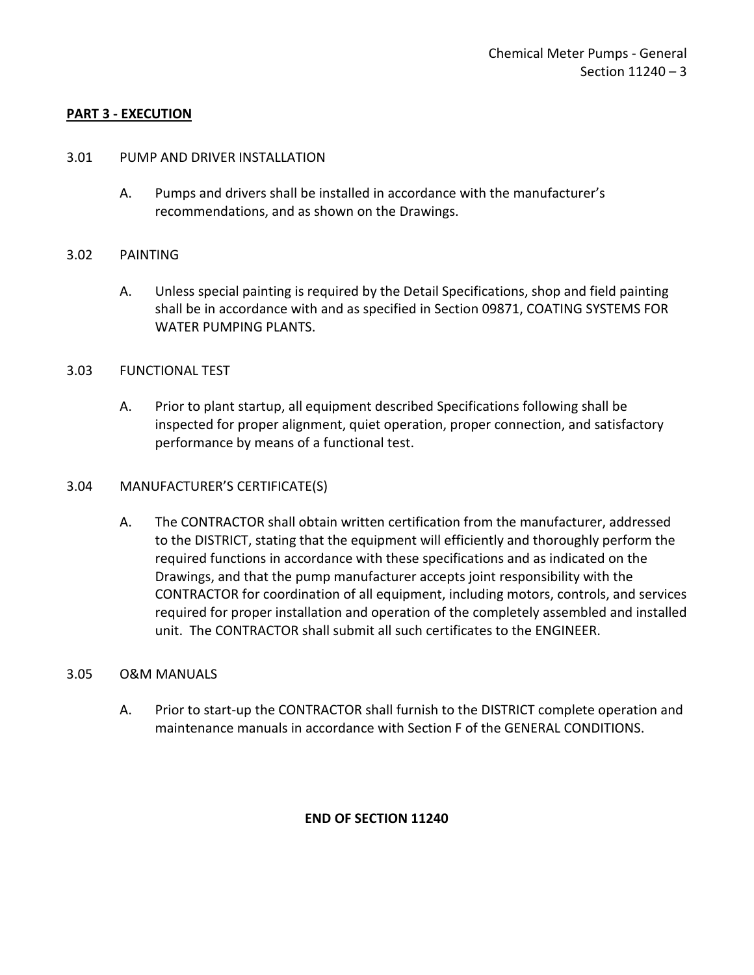# <span id="page-4-0"></span>**PART 3 - EXECUTION**

### <span id="page-4-1"></span>3.01 PUMP AND DRIVER INSTALLATION

A. Pumps and drivers shall be installed in accordance with the manufacturer's recommendations, and as shown on the Drawings.

### <span id="page-4-2"></span>3.02 PAINTING

A. Unless special painting is required by the Detail Specifications, shop and field painting shall be in accordance with and as specified in Section 09871, COATING SYSTEMS FOR WATER PUMPING PLANTS.

#### <span id="page-4-3"></span>3.03 FUNCTIONAL TEST

A. Prior to plant startup, all equipment described Specifications following shall be inspected for proper alignment, quiet operation, proper connection, and satisfactory performance by means of a functional test.

### <span id="page-4-4"></span>3.04 MANUFACTURER'S CERTIFICATE(S)

A. The CONTRACTOR shall obtain written certification from the manufacturer, addressed to the DISTRICT, stating that the equipment will efficiently and thoroughly perform the required functions in accordance with these specifications and as indicated on the Drawings, and that the pump manufacturer accepts joint responsibility with the CONTRACTOR for coordination of all equipment, including motors, controls, and services required for proper installation and operation of the completely assembled and installed unit. The CONTRACTOR shall submit all such certificates to the ENGINEER.

# <span id="page-4-5"></span>3.05 O&M MANUALS

A. Prior to start-up the CONTRACTOR shall furnish to the DISTRICT complete operation and maintenance manuals in accordance with Section F of the GENERAL CONDITIONS.

# **END OF SECTION 11240**